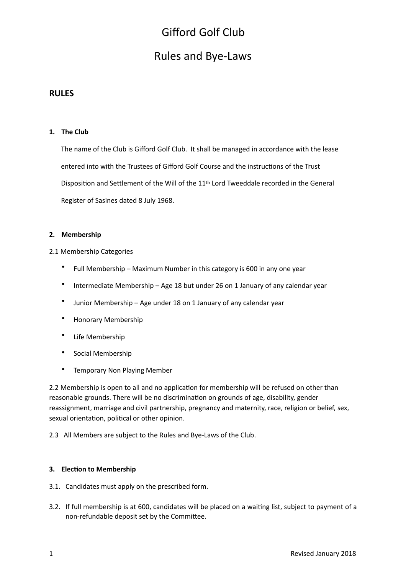## Rules and Bye-Laws

### **RULES**

### 1. The Club

The name of the Club is Gifford Golf Club. It shall be managed in accordance with the lease entered into with the Trustees of Gifford Golf Course and the instructions of the Trust Disposition and Settlement of the Will of the  $11<sup>th</sup>$  Lord Tweeddale recorded in the General Register of Sasines dated 8 July 1968.

### 2. **Membership**

2.1 Membership Categories

- Full Membership Maximum Number in this category is 600 in any one year
- Intermediate Membership Age 18 but under 26 on 1 January of any calendar year
- Junior Membership Age under 18 on 1 January of any calendar year
- Honorary Membership
- Life Membership
- Social Membership
- Temporary Non Playing Member

2.2 Membership is open to all and no application for membership will be refused on other than reasonable grounds. There will be no discrimination on grounds of age, disability, gender reassignment, marriage and civil partnership, pregnancy and maternity, race, religion or belief, sex, sexual orientation, political or other opinion.

2.3 All Members are subject to the Rules and Bye-Laws of the Club.

### **3.** Election to Membership

- 3.1. Candidates must apply on the prescribed form.
- 3.2. If full membership is at 600, candidates will be placed on a waiting list, subject to payment of a non-refundable deposit set by the Committee.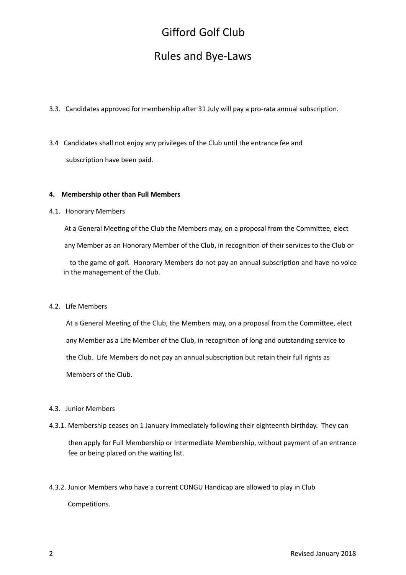## Rules and Bye-Laws

- 3.3. Candidates approved for membership after 31 July will pay a pro-rata annual subscription.
- 3.4 Candidates shall not enjoy any privileges of the Club until the entrance fee and subscription have been paid.

### **4.** Membership other than Full Members

#### 4.1. Honorary Members

At a General Meeting of the Club the Members may, on a proposal from the Committee, elect

any Member as an Honorary Member of the Club, in recognition of their services to the Club or

to the game of golf. Honorary Members do not pay an annual subscription and have no voice in the management of the Club.

#### 4.2. Life Members

At a General Meeting of the Club, the Members may, on a proposal from the Committee, elect any Member as a Life Member of the Club, in recognition of long and outstanding service to the Club. Life Members do not pay an annual subscription but retain their full rights as Members of the Club.

#### 4.3. Junior Members

4.3.1. Membership ceases on 1 January immediately following their eighteenth birthday. They can

then apply for Full Membership or Intermediate Membership, without payment of an entrance fee or being placed on the waiting list.

4.3.2. Junior Members who have a current CONGU Handicap are allowed to play in Club Competitions.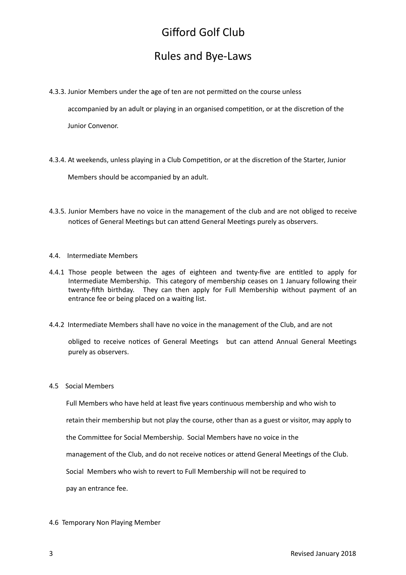## Rules and Bye-Laws

4.3.3. Junior Members under the age of ten are not permitted on the course unless

accompanied by an adult or playing in an organised competition, or at the discretion of the

Junior Convenor.

4.3.4. At weekends, unless playing in a Club Competition, or at the discretion of the Starter, Junior

Members should be accompanied by an adult.

4.3.5. Junior Members have no voice in the management of the club and are not obliged to receive notices of General Meetings but can attend General Meetings purely as observers.

### 4.4. Intermediate Members

- 4.4.1 Those people between the ages of eighteen and twenty-five are entitled to apply for Intermediate Membership. This category of membership ceases on 1 January following their twenty-fifth birthday. They can then apply for Full Membership without payment of an entrance fee or being placed on a waiting list.
- 4.4.2 Intermediate Members shall have no voice in the management of the Club, and are not

obliged to receive notices of General Meetings but can attend Annual General Meetings purely as observers.

### 4.5 Social Members

Full Members who have held at least five years continuous membership and who wish to

retain their membership but not play the course, other than as a guest or visitor, may apply to

the Committee for Social Membership. Social Members have no voice in the

management of the Club, and do not receive notices or attend General Meetings of the Club.

Social Members who wish to revert to Full Membership will not be required to

pay an entrance fee.

4.6 Temporary Non Playing Member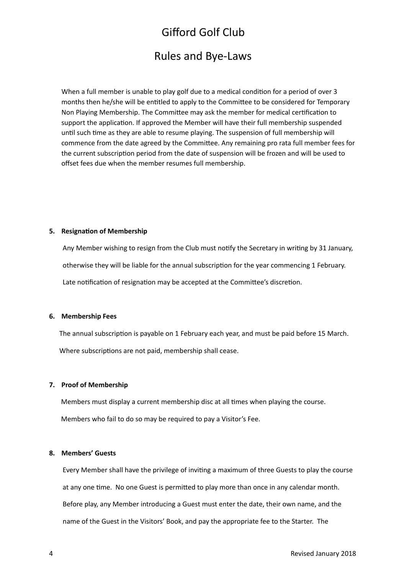### Rules and Bye-Laws

When a full member is unable to play golf due to a medical condition for a period of over 3 months then he/she will be entitled to apply to the Committee to be considered for Temporary Non Playing Membership. The Committee may ask the member for medical certification to support the application. If approved the Member will have their full membership suspended until such time as they are able to resume playing. The suspension of full membership will commence from the date agreed by the Committee. Any remaining pro rata full member fees for the current subscription period from the date of suspension will be frozen and will be used to offset fees due when the member resumes full membership.

### **5.** Resignation of Membership

Any Member wishing to resign from the Club must notify the Secretary in writing by 31 January, otherwise they will be liable for the annual subscription for the year commencing 1 February. Late notification of resignation may be accepted at the Committee's discretion.

### **6. Membership Fees**

The annual subscription is payable on 1 February each year, and must be paid before 15 March. Where subscriptions are not paid, membership shall cease.

### **7.** Proof of Membership

Members must display a current membership disc at all times when playing the course. Members who fail to do so may be required to pay a Visitor's Fee.

### **8. Members' Guests**

Every Member shall have the privilege of inviting a maximum of three Guests to play the course at any one time. No one Guest is permitted to play more than once in any calendar month. Before play, any Member introducing a Guest must enter the date, their own name, and the name of the Guest in the Visitors' Book, and pay the appropriate fee to the Starter. The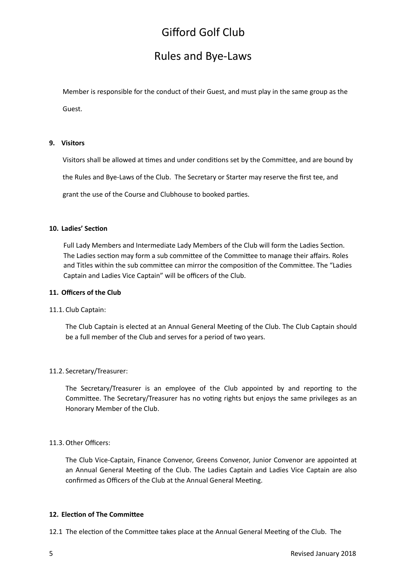## Rules and Bye-Laws

Member is responsible for the conduct of their Guest, and must play in the same group as the Guest. 

### **9. Visitors**

Visitors shall be allowed at times and under conditions set by the Committee, and are bound by

the Rules and Bye-Laws of the Club. The Secretary or Starter may reserve the first tee, and

grant the use of the Course and Clubhouse to booked parties.

### 10. Ladies' Section

Full Lady Members and Intermediate Lady Members of the Club will form the Ladies Section. The Ladies section may form a sub committee of the Committee to manage their affairs. Roles and Titles within the sub committee can mirror the composition of the Committee. The "Ladies Captain and Ladies Vice Captain" will be officers of the Club.

### 11. Officers of the Club

### 11.1. Club Captain:

The Club Captain is elected at an Annual General Meeting of the Club. The Club Captain should be a full member of the Club and serves for a period of two years.

### 11.2. Secretary/Treasurer:

The Secretary/Treasurer is an employee of the Club appointed by and reporting to the Committee. The Secretary/Treasurer has no voting rights but enjoys the same privileges as an Honorary Member of the Club.

### 11.3. Other Officers:

The Club Vice-Captain, Finance Convenor, Greens Convenor, Junior Convenor are appointed at an Annual General Meeting of the Club. The Ladies Captain and Ladies Vice Captain are also confirmed as Officers of the Club at the Annual General Meeting.

### **12. Election of The Committee**

12.1 The election of the Committee takes place at the Annual General Meeting of the Club. The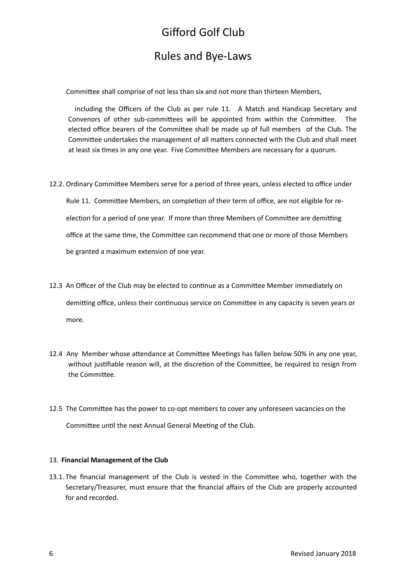## Rules and Bye-Laws

Committee shall comprise of not less than six and not more than thirteen Members,

including the Officers of the Club as per rule 11. A Match and Handicap Secretary and Convenors of other sub-committees will be appointed from within the Committee. The elected office bearers of the Committee shall be made up of full members of the Club. The Committee undertakes the management of all matters connected with the Club and shall meet at least six times in any one year. Five Committee Members are necessary for a quorum.

- 12.2. Ordinary Committee Members serve for a period of three years, unless elected to office under Rule 11. Committee Members, on completion of their term of office, are not eligible for reelection for a period of one year. If more than three Members of Committee are demitting office at the same time, the Committee can recommend that one or more of those Members be granted a maximum extension of one year.
- 12.3 An Officer of the Club may be elected to continue as a Committee Member immediately on demitting office, unless their continuous service on Committee in any capacity is seven years or more.
- 12.4 Any Member whose attendance at Committee Meetings has fallen below 50% in any one year, without justifiable reason will, at the discretion of the Committee, be required to resign from the Committee.
- 12.5 The Committee has the power to co-opt members to cover any unforeseen vacancies on the Committee until the next Annual General Meeting of the Club.

### 13. **Financial Management of the Club**

13.1. The financial management of the Club is vested in the Committee who, together with the Secretary/Treasurer, must ensure that the financial affairs of the Club are properly accounted for and recorded.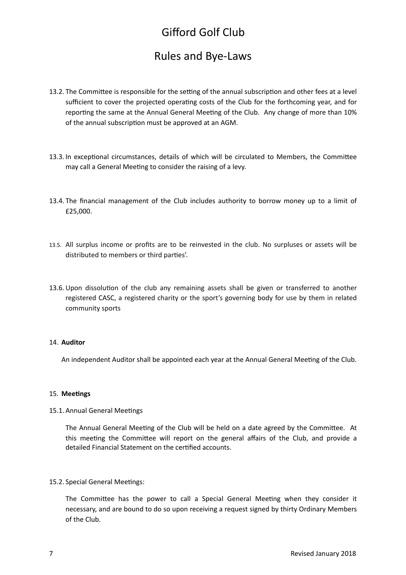## Rules and Bye-Laws

- 13.2. The Committee is responsible for the setting of the annual subscription and other fees at a level sufficient to cover the projected operating costs of the Club for the forthcoming year, and for reporting the same at the Annual General Meeting of the Club. Any change of more than 10% of the annual subscription must be approved at an AGM.
- 13.3. In exceptional circumstances, details of which will be circulated to Members, the Committee may call a General Meeting to consider the raising of a levy.
- 13.4. The financial management of the Club includes authority to borrow money up to a limit of £25,000.
- 13.5. All surplus income or profits are to be reinvested in the club. No surpluses or assets will be distributed to members or third parties'.
- 13.6. Upon dissolution of the club any remaining assets shall be given or transferred to another registered CASC, a registered charity or the sport's governing body for use by them in related community sports

### 14. **Auditor**

An independent Auditor shall be appointed each year at the Annual General Meeting of the Club.

### 15. **Meetings**

### 15.1. Annual General Meetings

The Annual General Meeting of the Club will be held on a date agreed by the Committee. At this meeting the Committee will report on the general affairs of the Club, and provide a detailed Financial Statement on the certified accounts.

### 15.2. Special General Meetings:

The Committee has the power to call a Special General Meeting when they consider it necessary, and are bound to do so upon receiving a request signed by thirty Ordinary Members of the Club.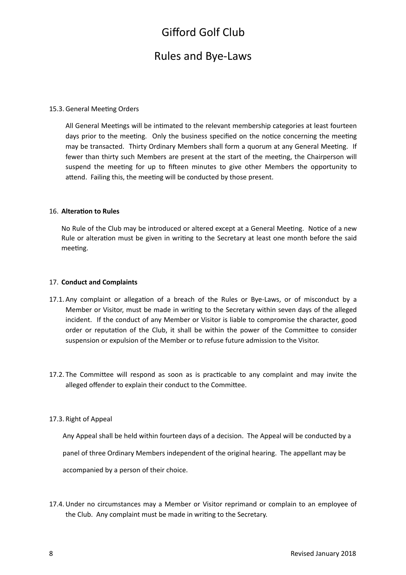## Rules and Bye-Laws

### 15.3. General Meeting Orders

All General Meetings will be intimated to the relevant membership categories at least fourteen days prior to the meeting. Only the business specified on the notice concerning the meeting may be transacted. Thirty Ordinary Members shall form a quorum at any General Meeting. If fewer than thirty such Members are present at the start of the meeting, the Chairperson will suspend the meeting for up to fifteen minutes to give other Members the opportunity to attend. Failing this, the meeting will be conducted by those present.

### 16. **Alteration to Rules**

No Rule of the Club may be introduced or altered except at a General Meeting. Notice of a new Rule or alteration must be given in writing to the Secretary at least one month before the said meeting.

### 17. **Conduct and Complaints**

- 17.1. Any complaint or allegation of a breach of the Rules or Bye-Laws, or of misconduct by a Member or Visitor, must be made in writing to the Secretary within seven days of the alleged incident. If the conduct of any Member or Visitor is liable to compromise the character, good order or reputation of the Club, it shall be within the power of the Committee to consider suspension or expulsion of the Member or to refuse future admission to the Visitor.
- 17.2. The Committee will respond as soon as is practicable to any complaint and may invite the alleged offender to explain their conduct to the Committee.

### 17.3. Right of Appeal

Any Appeal shall be held within fourteen days of a decision. The Appeal will be conducted by a panel of three Ordinary Members independent of the original hearing. The appellant may be accompanied by a person of their choice.

17.4. Under no circumstances may a Member or Visitor reprimand or complain to an employee of the Club. Any complaint must be made in writing to the Secretary.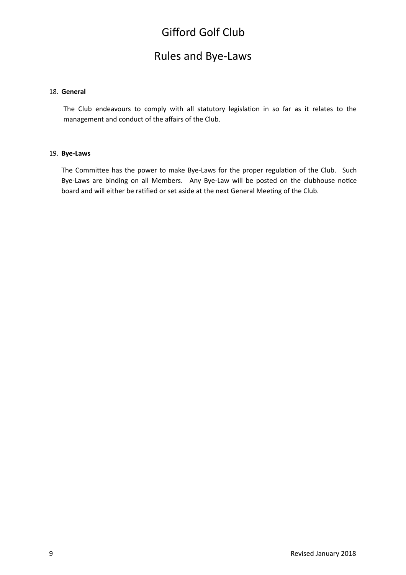## Rules and Bye-Laws

### 18. **General**

The Club endeavours to comply with all statutory legislation in so far as it relates to the management and conduct of the affairs of the Club.

### 19. **Bye-Laws**

The Committee has the power to make Bye-Laws for the proper regulation of the Club. Such Bye-Laws are binding on all Members. Any Bye-Law will be posted on the clubhouse notice board and will either be ratified or set aside at the next General Meeting of the Club.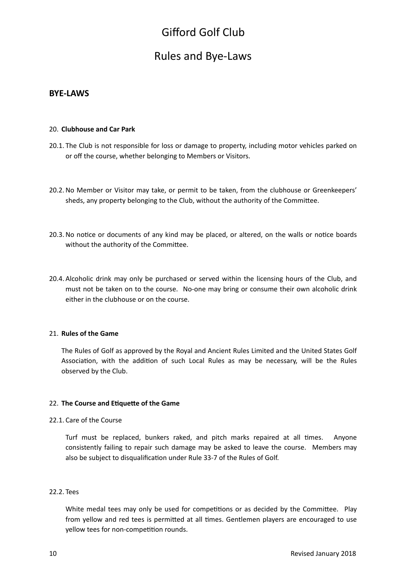## Rules and Bye-Laws

### **BYE-LAWS**

### 20. **Clubhouse and Car Park**

- 20.1. The Club is not responsible for loss or damage to property, including motor vehicles parked on or off the course, whether belonging to Members or Visitors.
- 20.2. No Member or Visitor may take, or permit to be taken, from the clubhouse or Greenkeepers' sheds, any property belonging to the Club, without the authority of the Committee.
- 20.3. No notice or documents of any kind may be placed, or altered, on the walls or notice boards without the authority of the Committee.
- 20.4. Alcoholic drink may only be purchased or served within the licensing hours of the Club, and must not be taken on to the course. No-one may bring or consume their own alcoholic drink either in the clubhouse or on the course.

### 21. **Rules of the Game**

The Rules of Golf as approved by the Royal and Ancient Rules Limited and the United States Golf Association, with the addition of such Local Rules as may be necessary, will be the Rules observed by the Club.

### 22. The Course and Etiquette of the Game

22.1. Care of the Course

Turf must be replaced, bunkers raked, and pitch marks repaired at all times. Anyone consistently failing to repair such damage may be asked to leave the course. Members may also be subject to disqualification under Rule 33-7 of the Rules of Golf.

### 22.2. Tees

White medal tees may only be used for competitions or as decided by the Committee. Play from yellow and red tees is permitted at all times. Gentlemen players are encouraged to use yellow tees for non-competition rounds.